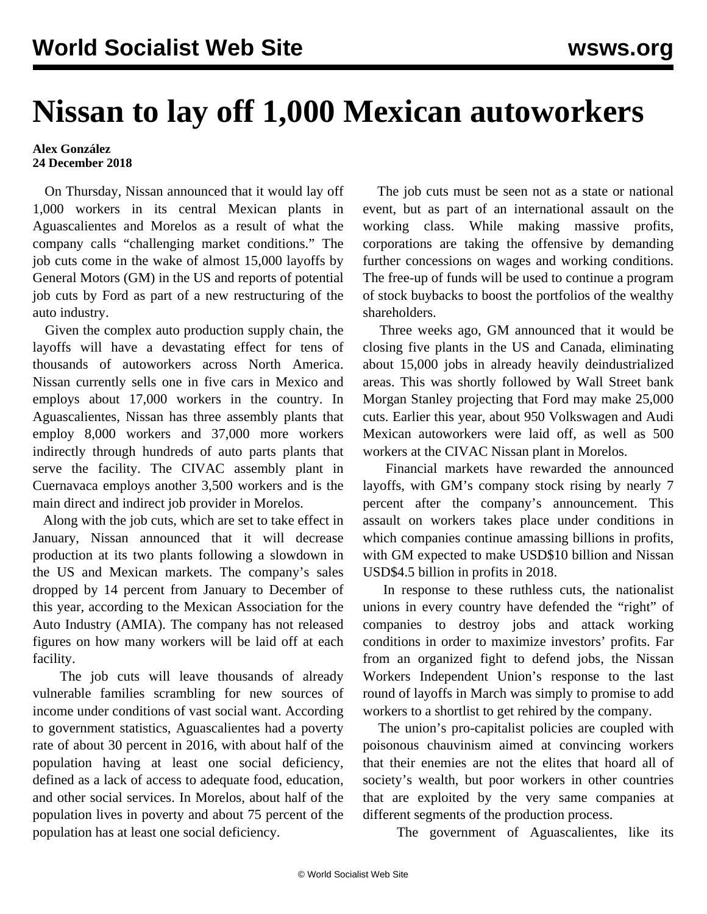## **Nissan to lay off 1,000 Mexican autoworkers**

## **Alex González 24 December 2018**

 On Thursday, Nissan announced that it would lay off 1,000 workers in its central Mexican plants in Aguascalientes and Morelos as a result of what the company calls "challenging market conditions." The job cuts come in the wake of almost 15,000 layoffs by General Motors (GM) in the US and reports of potential job cuts by Ford as part of a new restructuring of the auto industry.

 Given the complex auto production supply chain, the layoffs will have a devastating effect for tens of thousands of autoworkers across North America. Nissan currently sells one in five cars in Mexico and employs about 17,000 workers in the country. In Aguascalientes, Nissan has three assembly plants that employ 8,000 workers and 37,000 more workers indirectly through hundreds of auto parts plants that serve the facility. The CIVAC assembly plant in Cuernavaca employs another 3,500 workers and is the main direct and indirect job provider in Morelos.

 Along with the job cuts, which are set to take effect in January, Nissan announced that it will decrease production at its two plants following a slowdown in the US and Mexican markets. The company's sales dropped by 14 percent from January to December of this year, according to the Mexican Association for the Auto Industry (AMIA). The company has not released figures on how many workers will be laid off at each facility.

 The job cuts will leave thousands of already vulnerable families scrambling for new sources of income under conditions of vast social want. According to government statistics, Aguascalientes had a poverty rate of about 30 percent in 2016, with about half of the population having at least one social deficiency, defined as a lack of access to adequate food, education, and other social services. In Morelos, about half of the population lives in poverty and about 75 percent of the population has at least one social deficiency.

 The job cuts must be seen not as a state or national event, but as part of an international assault on the working class. While making massive profits, corporations are taking the offensive by demanding further concessions on wages and working conditions. The free-up of funds will be used to continue a program of stock buybacks to boost the portfolios of the wealthy shareholders.

 Three weeks ago, GM announced that it would be closing five plants in the US and Canada, eliminating about 15,000 jobs in already heavily deindustrialized areas. This was shortly followed by Wall Street bank Morgan Stanley projecting that Ford may make 25,000 cuts. Earlier this year, about 950 Volkswagen and Audi Mexican autoworkers were laid off, as well as 500 workers at the CIVAC Nissan plant in Morelos.

 Financial markets have rewarded the announced layoffs, with GM's company stock rising by nearly 7 percent after the company's announcement. This assault on workers takes place under conditions in which companies continue amassing billions in profits, with GM expected to make USD\$10 billion and Nissan USD\$4.5 billion in profits in 2018.

 In response to these ruthless cuts, the nationalist unions in every country have defended the "right" of companies to destroy jobs and attack working conditions in order to maximize investors' profits. Far from an organized fight to defend jobs, the Nissan Workers Independent Union's response to the last round of [layoffs in March](/en/articles/2018/03/12/niss-m12.html) was simply to promise to add workers to a shortlist to get rehired by the company.

 The union's pro-capitalist policies are coupled with poisonous chauvinism aimed at convincing workers that their enemies are not the elites that hoard all of society's wealth, but poor workers in other countries that are exploited by the very same companies at different segments of the production process.

The government of Aguascalientes, like its